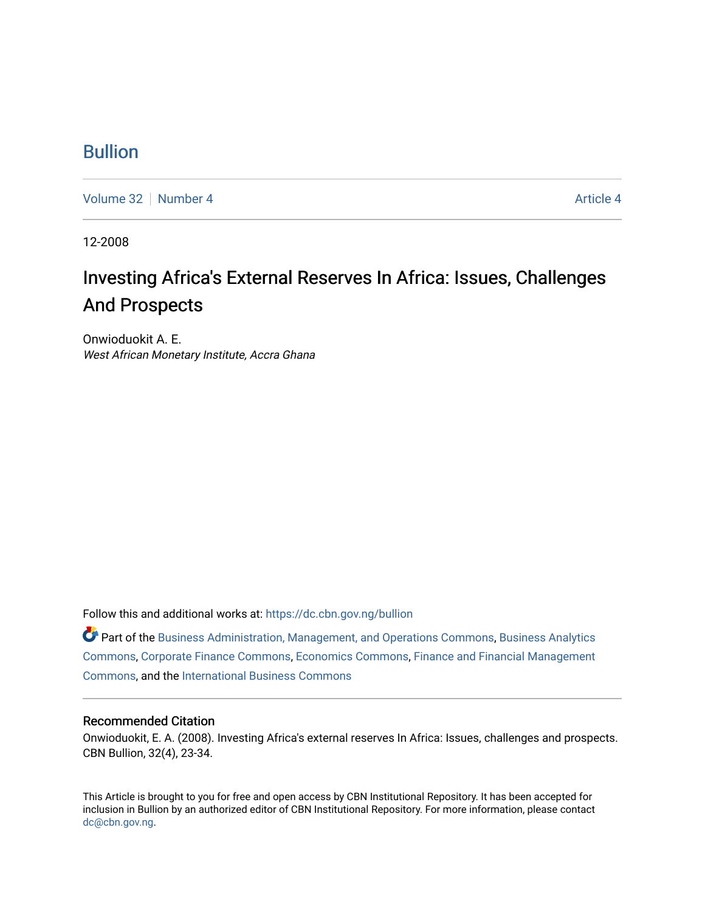### [Bullion](https://dc.cbn.gov.ng/bullion)

[Volume 32](https://dc.cbn.gov.ng/bullion/vol32) [Number 4](https://dc.cbn.gov.ng/bullion/vol32/iss4) [Article 4](https://dc.cbn.gov.ng/bullion/vol32/iss4/4) Article 4 Article 4 Article 4 Article 4 Article 4 Article 4

12-2008

## Investing Africa's External Reserves In Africa: Issues, Challenges And Prospects

Onwioduokit A. E. West African Monetary Institute, Accra Ghana

Follow this and additional works at: [https://dc.cbn.gov.ng/bullion](https://dc.cbn.gov.ng/bullion?utm_source=dc.cbn.gov.ng%2Fbullion%2Fvol32%2Fiss4%2F4&utm_medium=PDF&utm_campaign=PDFCoverPages) 

Part of the [Business Administration, Management, and Operations Commons](http://network.bepress.com/hgg/discipline/623?utm_source=dc.cbn.gov.ng%2Fbullion%2Fvol32%2Fiss4%2F4&utm_medium=PDF&utm_campaign=PDFCoverPages), [Business Analytics](http://network.bepress.com/hgg/discipline/1398?utm_source=dc.cbn.gov.ng%2Fbullion%2Fvol32%2Fiss4%2F4&utm_medium=PDF&utm_campaign=PDFCoverPages) [Commons](http://network.bepress.com/hgg/discipline/1398?utm_source=dc.cbn.gov.ng%2Fbullion%2Fvol32%2Fiss4%2F4&utm_medium=PDF&utm_campaign=PDFCoverPages), [Corporate Finance Commons,](http://network.bepress.com/hgg/discipline/629?utm_source=dc.cbn.gov.ng%2Fbullion%2Fvol32%2Fiss4%2F4&utm_medium=PDF&utm_campaign=PDFCoverPages) [Economics Commons](http://network.bepress.com/hgg/discipline/340?utm_source=dc.cbn.gov.ng%2Fbullion%2Fvol32%2Fiss4%2F4&utm_medium=PDF&utm_campaign=PDFCoverPages), [Finance and Financial Management](http://network.bepress.com/hgg/discipline/631?utm_source=dc.cbn.gov.ng%2Fbullion%2Fvol32%2Fiss4%2F4&utm_medium=PDF&utm_campaign=PDFCoverPages) [Commons](http://network.bepress.com/hgg/discipline/631?utm_source=dc.cbn.gov.ng%2Fbullion%2Fvol32%2Fiss4%2F4&utm_medium=PDF&utm_campaign=PDFCoverPages), and the [International Business Commons](http://network.bepress.com/hgg/discipline/634?utm_source=dc.cbn.gov.ng%2Fbullion%2Fvol32%2Fiss4%2F4&utm_medium=PDF&utm_campaign=PDFCoverPages) 

#### Recommended Citation

Onwioduokit, E. A. (2008). Investing Africa's external reserves In Africa: Issues, challenges and prospects. CBN Bullion, 32(4), 23-34.

This Article is brought to you for free and open access by CBN Institutional Repository. It has been accepted for inclusion in Bullion by an authorized editor of CBN Institutional Repository. For more information, please contact [dc@cbn.gov.ng](mailto:dc@cbn.gov.ng).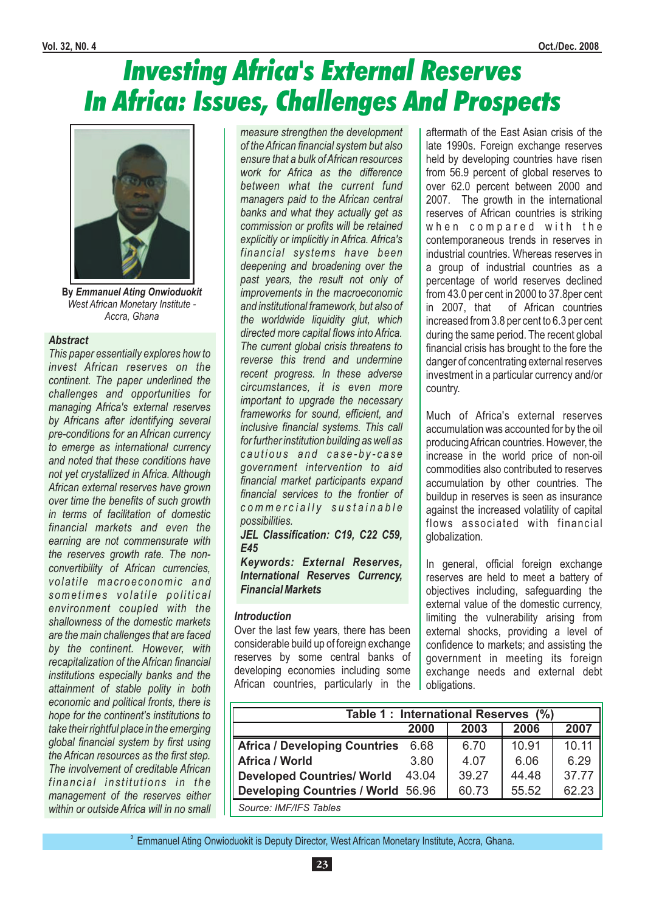# Investing Africa's External Reserves In Africa: Issues, Challenges And Prospects



**By** *Emmanuel Ating Onwioduokit West African Monetary Institute - Accra, Ghana*

#### *Abstract*

*This paper essentially explores how to invest African reserves on the continent. The paper underlined the challenges and opportunities for managing Africa's external reserves by Africans after identifying several pre-conditions for an African currency to emerge as international currency and noted that these conditions have not yet crystallized in Africa. Although African external reserves have grown over time the benefits of such growth in terms of facilitation of domestic financial markets and even the earning are not commensurate with the reserves growth rate. The nonconvertibility of African currencies, volatile macroeconomic and s o m e t i m e s v o l a t i l e p o l i t i c a l environment coupled with the shallowness of the domestic markets are the main challenges that are faced by the continent. However, with recapitalization of the African financial institutions especially banks and the attainment of stable polity in both economic and political fronts, there is hope for the continent's institutions to take their rightful place in the emerging global financial system by first using the African resources as the first step. The involvement of creditable African financial institutions in the management of the reserves either within or outside Africa will in no small* *measure strengthen the development of the African financial system but also ensure that a bulk ofAfrican resources work for Africa as the difference between what the current fund managers paid to the African central banks and what they actually get as commission or profits will be retained explicitly or implicitly in Africa. Africa's financial systems have been deepening and broadening over the past years, the result not only of improvements in the macroeconomic and institutional framework, but also of the worldwide liquidity glut, which directed more capital flows into Africa. The current global crisis threatens to reverse this trend and undermine recent progress. In these adverse circumstances, it is even more important to upgrade the necessary frameworks for sound, efficient, and inclusive financial systems. This call for further institution building as well as c a u t i o u s a n d c a s e - b y - c a s e government intervention to aid financial market participants expand financial services to the frontier of c o m m e r c i a l l y s u s t a i n a b l e possibilities.*

*JEL Classification: C19, C22 C59, E45*

*Keywords: External Reserves, International Reserves Currency, Financial Markets*

#### *Introduction*

Over the last few years, there has been considerable build up of foreign exchange reserves by some central banks of developing economies including some African countries, particularly in the

aftermath of the East Asian crisis of the late 1990s. Foreign exchange reserves held by developing countries have risen from 56.9 percent of global reserves to over 62.0 percent between 2000 and 2007. The growth in the international reserves of African countries is striking when compared with the contemporaneous trends in reserves in industrial countries. Whereas reserves in a group of industrial countries as a percentage of world reserves declined from 43.0 per cent in 2000 to 37.8per cent in 2007, that of African countries increased from 3.8 per cent to 6.3 per cent during the same period. The recent global financial crisis has brought to the fore the danger of concentrating external reserves investment in a particular currency and/or country.

Much of Africa's external reserves accumulation was accounted for by the oil producingAfrican countries. However, the increase in the world price of non-oil commodities also contributed to reserves accumulation by other countries. The buildup in reserves is seen as insurance against the increased volatility of capital flows associated with financial globalization.

In general, official foreign exchange reserves are held to meet a battery of objectives including, safeguarding the external value of the domestic currency, limiting the vulnerability arising from external shocks, providing a level of confidence to markets; and assisting the government in meeting its foreign exchange needs and external debt obligations.

|                                           | Table 1: International Reserves (%) |       |       |       |  |  |  |  |
|-------------------------------------------|-------------------------------------|-------|-------|-------|--|--|--|--|
|                                           | 2000                                | 2003  | 2006  | 2007  |  |  |  |  |
| <b>Africa / Developing Countries</b>      | 6.68                                | 6.70  | 10.91 | 10.11 |  |  |  |  |
| <b>Africa / World</b>                     | 3.80                                | 4.07  | 6.06  | 6.29  |  |  |  |  |
| <b>Developed Countries/ World</b>         | 43.04                               | 39.27 | 44.48 | 37.77 |  |  |  |  |
| <b>Developing Countries / World 56.96</b> |                                     | 60.73 | 55.52 | 62.23 |  |  |  |  |
| Source: IMF/IFS Tables                    |                                     |       |       |       |  |  |  |  |

2 Emmanuel Ating Onwioduokit is Deputy Director, West African Monetary Institute, Accra, Ghana.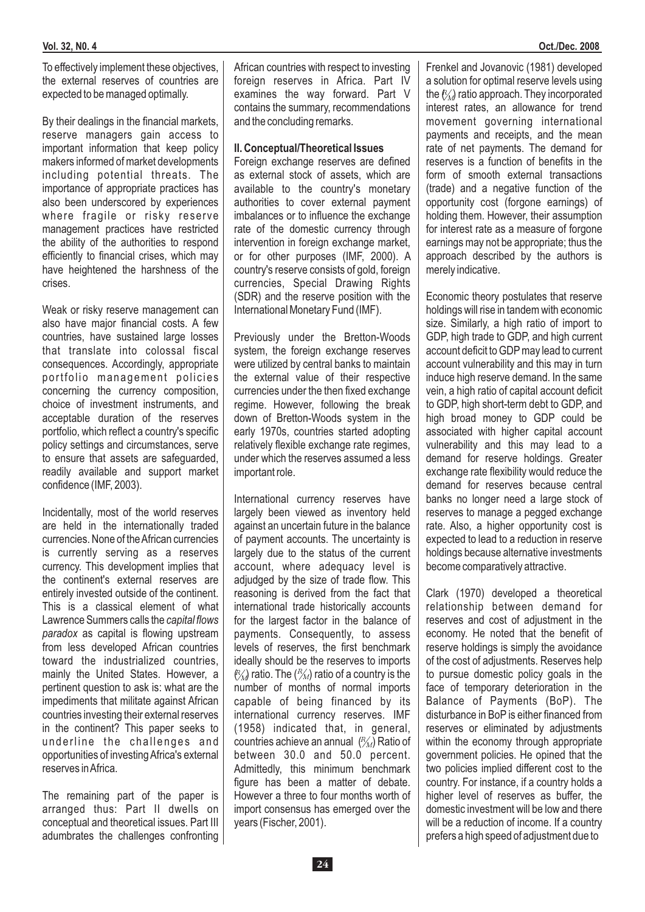To effectively implement these objectives, the external reserves of countries are expected to be managed optimally.

By their dealings in the financial markets, reserve managers gain access to important information that keep policy makers informed of market developments including potential threats. The importance of appropriate practices has also been underscored by experiences where fragile or risky reserve management practices have restricted the ability of the authorities to respond efficiently to financial crises, which may have heightened the harshness of the crises.

Weak or risky reserve management can also have major financial costs. A few countries, have sustained large losses that translate into colossal fiscal consequences. Accordingly, appropriate portfolio management policies concerning the currency composition, choice of investment instruments, and acceptable duration of the reserves portfolio, which reflect a country's specific policy settings and circumstances, serve to ensure that assets are safeguarded, readily available and support market confidence (IMF, 2003).

Incidentally, most of the world reserves are held in the internationally traded currencies. None of theAfrican currencies is currently serving as a reserves currency. This development implies that the continent's external reserves are entirely invested outside of the continent. This is a classical element of what Lawrence Summers calls the *capital flows* paradox as capital is flowing upstream from less developed African countries toward the industrialized countries, mainly the United States. However, a pertinent question to ask is: what are the impediments that militate against African countries investing their external reserves in the continent? This paper seeks to underline the challenges and opportunities of investing Africa's external reserves inAfrica.

The remaining part of the paper is arranged thus: Part II dwells on conceptual and theoretical issues. Part III adumbrates the challenges confronting African countries with respect to investing foreign reserves in Africa. Part IV examines the way forward. Part V contains the summary, recommendations and the concluding remarks.

#### **II. Conceptual/Theoretical Issues**

Foreign exchange reserves are defined as external stock of assets, which are available to the country's monetary authorities to cover external payment imbalances or to influence the exchange rate of the domestic currency through intervention in foreign exchange market, or for other purposes (IMF, 2000). A country's reserve consists of gold, foreign currencies, Special Drawing Rights (SDR) and the reserve position with the International Monetary Fund (IMF).

Previously under the Bretton-Woods system, the foreign exchange reserves were utilized by central banks to maintain the external value of their respective currencies under the then fixed exchange regime. However, following the break down of Bretton-Woods system in the early 1970s, countries started adopting relatively flexible exchange rate regimes, under which the reserves assumed a less important role.

International currency reserves have largely been viewed as inventory held against an uncertain future in the balance of payment accounts. The uncertainty is largely due to the status of the current account, where adequacy level is adjudged by the size of trade flow. This reasoning is derived from the fact that international trade historically accounts for the largest factor in the balance of payments. Consequently, to assess levels of reserves, the first benchmark ideally should be the reserves to imports  $\mathcal{P}_{M}$  ratio. The  $\mathcal{P}_{M}$  ratio of a country is the  $\sum_{i=1}^{N}$  ratio:  $\sum_{i=1}^{N}$  ratio or a country is the capable of being financed by its international currency reserves. IMF (1958) indicated that, in general, countries achieve an annual  $\binom{R}{M}$  Ratio of between 30.0 and 50.0 percent. Admittedly, this minimum benchmark figure has been a matter of debate. However a three to four months worth of import consensus has emerged over the years (Fischer, 2001).

Frenkel and Jovanovic (1981) developed a solution for optimal reserve levels using the  $\ell_M$  ratio approach. They incorporated interest rates, an allowance for trend movement governing international payments and receipts, and the mean rate of net payments. The demand for reserves is a function of benefits in the form of smooth external transactions (trade) and a negative function of the opportunity cost (forgone earnings) of holding them. However, their assumption for interest rate as a measure of forgone earnings may not be appropriate; thus the approach described by the authors is merely indicative.

Economic theory postulates that reserve holdings will rise in tandem with economic size. Similarly, a high ratio of import to GDP, high trade to GDP, and high current account deficit to GDP may lead to current account vulnerability and this may in turn induce high reserve demand. In the same vein, a high ratio of capital account deficit to GDP, high short-term debt to GDP, and high broad money to GDP could be associated with higher capital account vulnerability and this may lead to a demand for reserve holdings. Greater exchange rate flexibility would reduce the demand for reserves because central banks no longer need a large stock of reserves to manage a pegged exchange rate. Also, a higher opportunity cost is expected to lead to a reduction in reserve holdings because alternative investments become comparatively attractive.

Clark (1970) developed a theoretical relationship between demand for reserves and cost of adjustment in the economy. He noted that the benefit of reserve holdings is simply the avoidance of the cost of adjustments. Reserves help to pursue domestic policy goals in the face of temporary deterioration in the Balance of Payments (BoP). The disturbance in BoP is either financed from reserves or eliminated by adjustments within the economy through appropriate government policies. He opined that the two policies implied different cost to the country. For instance, if a country holds a higher level of reserves as buffer, the domestic investment will be low and there will be a reduction of income. If a country prefers a high speed of adjustment due to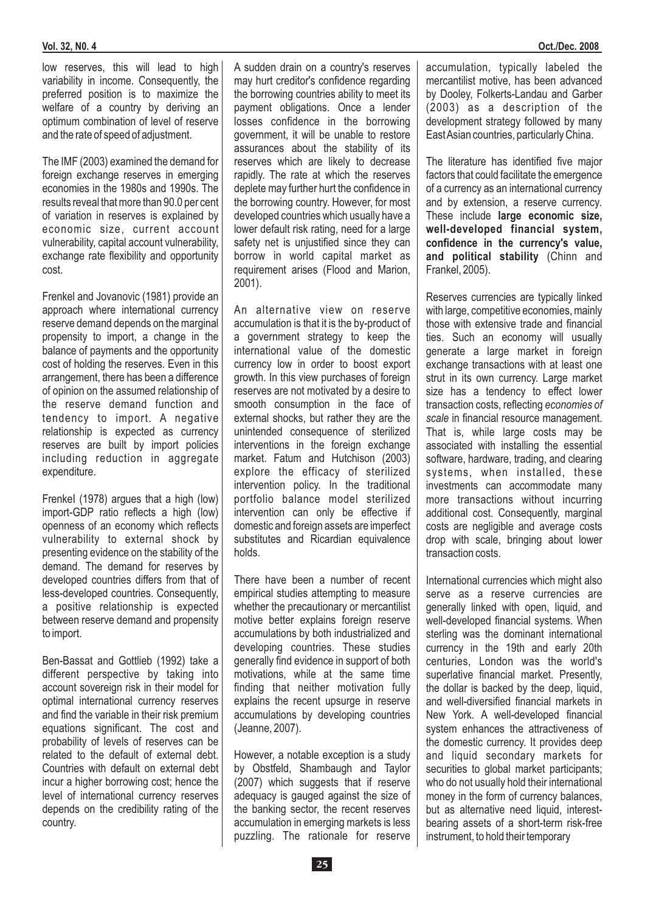low reserves, this will lead to high variability in income. Consequently, the preferred position is to maximize the welfare of a country by deriving an optimum combination of level of reserve and the rate of speed of adjustment.

The IMF (2003) examined the demand for foreign exchange reserves in emerging economies in the 1980s and 1990s. The results reveal that more than 90.0 per cent of variation in reserves is explained by economic size, current account vulnerability, capital account vulnerability, exchange rate flexibility and opportunity cost.

Frenkel and Jovanovic (1981) provide an approach where international currency reserve demand depends on the marginal propensity to import, a change in the balance of payments and the opportunity cost of holding the reserves. Even in this arrangement, there has been a difference of opinion on the assumed relationship of the reserve demand function and tendency to import. A negative relationship is expected as currency reserves are built by import policies including reduction in aggregate expenditure.

FrenkeI (1978) argues that a high (low) import-GDP ratio reflects a high (low) openness of an economy which reflects vulnerability to external shock by presenting evidence on the stability of the demand. The demand for reserves by developed countries differs from that of less-developed countries. Consequently, a positive relationship is expected between reserve demand and propensity to import.

Ben-Bassat and Gottlieb (1992) take a different perspective by taking into account sovereign risk in their model for optimal international currency reserves and find the variable in their risk premium equations significant. The cost and probability of levels of reserves can be related to the default of external debt. Countries with default on external debt incur a higher borrowing cost; hence the level of international currency reserves depends on the credibility rating of the country.

A sudden drain on a country's reserves may hurt creditor's confidence regarding the borrowing countries ability to meet its payment obligations. Once a lender losses confidence in the borrowing government, it will be unable to restore assurances about the stability of its reserves which are likely to decrease rapidly. The rate at which the reserves deplete may further hurt the confidence in the borrowing country. However, for most developed countries which usually have a lower default risk rating, need for a large safety net is unjustified since they can borrow in world capital market as requirement arises (Flood and Marion, 2001).

An alternative view on reserve accumulation is that it is the by-product of a government strategy to keep the international value of the domestic currency low in order to boost export growth. In this view purchases of foreign reserves are not motivated by a desire to smooth consumption in the face of external shocks, but rather they are the unintended consequence of sterilized interventions in the foreign exchange market. Fatum and Hutchison (2003) explore the efficacy of sterilized intervention policy. In the traditional portfolio balance model sterilized intervention can only be effective if domestic and foreign assets are imperfect substitutes and Ricardian equivalence holds.

There have been a number of recent empirical studies attempting to measure whether the precautionary or mercantilist motive better explains foreign reserve accumulations by both industrialized and developing countries. These studies generally find evidence in support of both motivations, while at the same time finding that neither motivation fully explains the recent upsurge in reserve accumulations by developing countries (Jeanne, 2007).

However, a notable exception is a study by Obstfeld, Shambaugh and Taylor (2007) which suggests that if reserve adequacy is gauged against the size of the banking sector, the recent reserves accumulation in emerging markets is less puzzling. The rationale for reserve accumulation, typically labeled the mercantilist motive, has been advanced by Dooley, Folkerts-Landau and Garber (2003) as a description of the development strategy followed by many EastAsian countries, particularly China.

The literature has identified five major factors that could facilitate the emergence of a currency as an international currency and by extension, a reserve currency *.* These include **large economic size,** and political stability (Chinn and Frankel, 2005). **well-developed financial system, confidence in the currency's value,**

Reserves currencies are typically linked with large, competitive economies, mainly those with extensive trade and financial ties. Such an economy will usually generate a large market in foreign exchange transactions with at least one strut in its own currency. Large market size has a tendency to effect lower transaction costs, reflecting *economies of* scale in financial resource management. That is, while large costs may be associated with installing the essential software, hardware, trading, and clearing systems, when installed, these investments can accommodate many more transactions without incurring additional cost. Consequently, marginal costs are negligible and average costs drop with scale, bringing about lower transaction costs.

International currencies which might also serve as a reserve currencies are generally linked with open, liquid, and well-developed financial systems. When sterling was the dominant international currency in the 19th and early 20th centuries, London was the world's superlative financial market. Presently, the dollar is backed by the deep, liquid, and well-diversified financial markets in New York. A well-developed financial system enhances the attractiveness of the domestic currency. It provides deep and liquid secondary markets for securities to global market participants: who do not usually hold their international money in the form of currency balances, but as alternative need liquid, interestbearing assets of a short-term risk-free instrument, to hold their temporary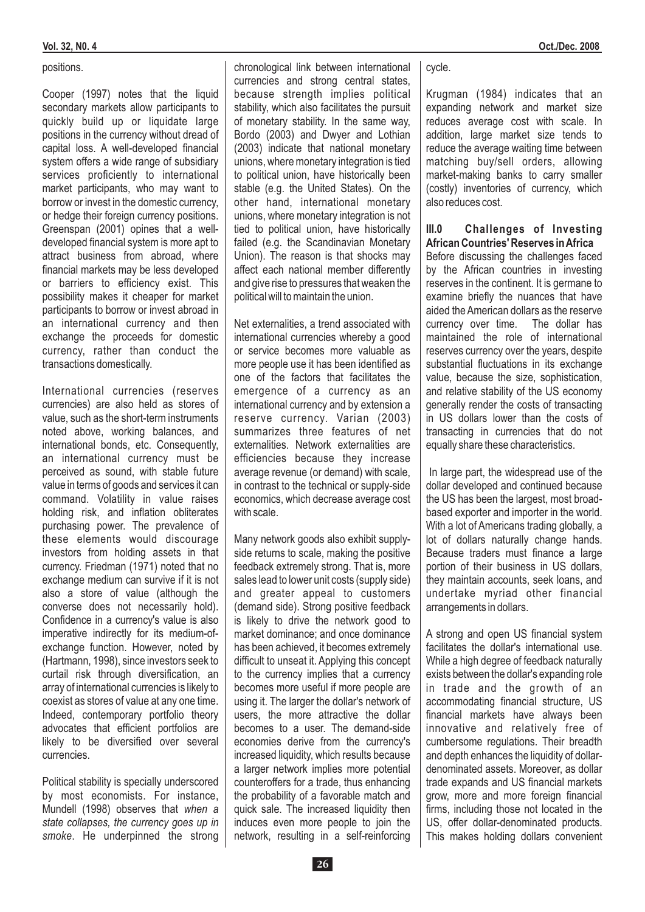Cooper (1997) notes that the liquid secondary markets allow participants to quickly build up or liquidate large positions in the currency without dread of capital loss. A well-developed financial system offers a wide range of subsidiary services proficiently to international market participants, who may want to borrow or invest in the domestic currency, or hedge their foreign currency positions. Greenspan (2001) opines that a welldeveloped financial system is more apt to attract business from abroad, where financial markets may be less developed or barriers to efficiency exist. This possibility makes it cheaper for market participants to borrow or invest abroad in an international currency and then exchange the proceeds for domestic currency, rather than conduct the transactions domestically.

International currencies (reserves currencies) are also held as stores of value, such as the short-term instruments noted above, working balances, and international bonds, etc. Consequently, an international currency must be perceived as sound, with stable future value in terms of goods and services it can command. Volatility in value raises holding risk, and inflation obliterates purchasing power. The prevalence of these elements would discourage investors from holding assets in that currency. Friedman (1971) noted that no exchange medium can survive if it is not also a store of value (although the converse does not necessarily hold). Confidence in a currency's value is also imperative indirectly for its medium-ofexchange function. However, noted by (Hartmann, 1998), since investors seek to curtail risk through diversification, an array of international currencies is likely to coexist as stores of value at any one time. Indeed, contemporary portfolio theory advocates that efficient portfolios are likely to be diversified over several currencies.

Political stability is specially underscored by most economists. For instance, Mundell (1998) observes that *when a* smoke. He underpinned the strong *state collapses, the currency goes up in* chronological link between international currencies and strong central states, because strength implies political stability, which also facilitates the pursuit of monetary stability. In the same way, Bordo (2003) and Dwyer and Lothian (2003) indicate that national monetary unions, where monetary integration is tied to political union, have historically been stable (e.g. the United States). On the other hand, international monetary unions, where monetary integration is not tied to political union, have historically failed (e.g. the Scandinavian Monetary Union). The reason is that shocks may affect each national member differently and give rise to pressures that weaken the political will to maintain the union.

Net externalities, a trend associated with international currencies whereby a good or service becomes more valuable as more people use it has been identified as one of the factors that facilitates the emergence of a currency as an international currency and by extension a reserve currency. Varian (2003) summarizes three features of net externalities. Network externalities are efficiencies because they increase average revenue (or demand) with scale, in contrast to the technical or supply-side economics, which decrease average cost with scale.

Many network goods also exhibit supplyside returns to scale, making the positive feedback extremely strong. That is, more sales lead to lower unit costs (supply side) and greater appeal to customers (demand side). Strong positive feedback is likely to drive the network good to market dominance; and once dominance has been achieved, it becomes extremely difficult to unseat it. Applying this concept to the currency implies that a currency becomes more useful if more people are using it. The larger the dollar's network of users, the more attractive the dollar becomes to a user. The demand-side economies derive from the currency's increased liquidity, which results because a larger network implies more potential counteroffers for a trade, thus enhancing the probability of a favorable match and quick sale. The increased liquidity then induces even more people to join the network, resulting in a self-reinforcing

cycle.

Krugman (1984) indicates that an expanding network and market size reduces average cost with scale. In addition, large market size tends to reduce the average waiting time between matching buy/sell orders, allowing market-making banks to carry smaller (costly) inventories of currency, which also reduces cost.

#### **III.0 Challenges of Investing African Countries' Reserves inAfrica**

Before discussing the challenges faced by the African countries in investing reserves in the continent. It is germane to examine briefly the nuances that have aided the American dollars as the reserve currency over time. The dollar has maintained the role of international reserves currency over the years, despite substantial fluctuations in its exchange value, because the size, sophistication, and relative stability of the US economy generally render the costs of transacting in US dollars lower than the costs of transacting in currencies that do not equally share these characteristics.

In large part, the widespread use of the dollar developed and continued because the US has been the largest, most broadbased exporter and importer in the world. With a lot of Americans trading globally, a lot of dollars naturally change hands. Because traders must finance a large portion of their business in US dollars, they maintain accounts, seek loans, and undertake myriad other financial arrangements in dollars.

A strong and open US financial system facilitates the dollar's international use. While a high degree of feedback naturally exists between the dollar's expanding role in trade and the growth of an accommodating financial structure, US financial markets have always been innovative and relatively free of cumbersome regulations. Their breadth and depth enhances the liquidity of dollardenominated assets. Moreover, as dollar trade expands and US financial markets grow, more and more foreign financial firms, including those not located in the US, offer dollar-denominated products. This makes holding dollars convenient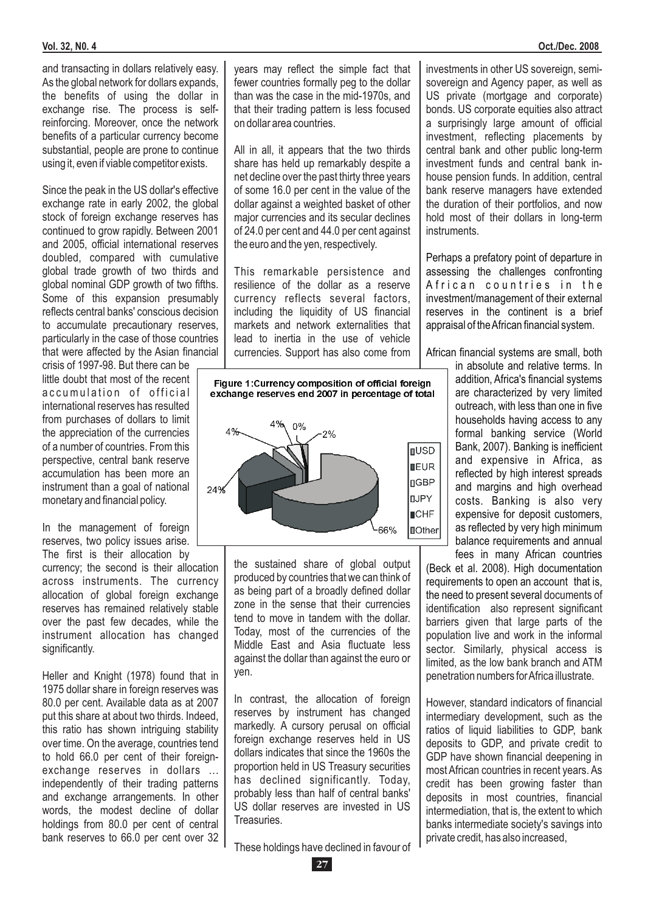and transacting in dollars relatively easy. As the global network for dollars expands, the benefits of using the dollar in exchange rise. The process is selfreinforcing. Moreover, once the network benefits of a particular currency become substantial, people are prone to continue using it, even if viable competitor exists.

Since the peak in the US dollar's effective exchange rate in early 2002, the global stock of foreign exchange reserves has continued to grow rapidly. Between 2001 and 2005, official international reserves doubled, compared with cumulative global trade growth of two thirds and global nominal GDP growth of two fifths. Some of this expansion presumably reflects central banks' conscious decision to accumulate precautionary reserves, particularly in the case of those countries that were affected by the Asian financial

crisis of 1997-98. But there can be little doubt that most of the recent accumulation of official international reserves has resulted from purchases of dollars to limit the appreciation of the currencies of a number of countries. From this perspective, central bank reserve accumulation has been more an instrument than a goal of national monetary and financial policy.

In the management of foreign reserves, two policy issues arise.

The first is their allocation by currency; the second is their allocation across instruments. The currency allocation of global foreign exchange reserves has remained relatively stable over the past few decades, while the instrument allocation has changed significantly.

Heller and Knight (1978) found that in 1975 dollar share in foreign reserves was 80.0 per cent. Available data as at 2007 put this share at about two thirds. Indeed, this ratio has shown intriguing stability over time. On the average, countries tend to hold 66.0 per cent of their foreignexchange reserves in dollars ... independently of their trading patterns and exchange arrangements. In other words, the modest decline of dollar holdings from 80.0 per cent of central bank reserves to 66.0 per cent over 32 years may reflect the simple fact that fewer countries formally peg to the dollar than was the case in the mid-1970s, and that their trading pattern is less focused on dollar area countries.

All in all, it appears that the two thirds share has held up remarkably despite a net decline over the past thirty three years of some 16.0 per cent in the value of the dollar against a weighted basket of other major currencies and its secular declines of 24.0 per cent and 44.0 per cent against the euro and the yen, respectively.

This remarkable persistence and resilience of the dollar as a reserve currency reflects several factors, including the liquidity of US financial markets and network externalities that lead to inertia in the use of vehicle currencies. Support has also come from



the sustained share of global output produced by countries that we can think of as being part of a broadly defined dollar zone in the sense that their currencies tend to move in tandem with the dollar. Today, most of the currencies of the Middle East and Asia fluctuate less against the dollar than against the euro or yen.

In contrast, the allocation of foreign reserves by instrument has changed markedly. A cursory perusal on official foreign exchange reserves held in US dollars indicates that since the 1960s the proportion held in US Treasury securities has declined significantly. Today, probably less than half of central banks' US dollar reserves are invested in US **Treasuries** 

These holdings have declined in favour of

investments in other US sovereign, semisovereign and Agency paper, as well as US private (mortgage and corporate) bonds. US corporate equities also attract a surprisingly large amount of official investment, reflecting placements by central bank and other public long-term investment funds and central bank inhouse pension funds. In addition, central bank reserve managers have extended the duration of their portfolios, and now hold most of their dollars in long-term instruments.

Perhaps a prefatory point of departure in assessing the challenges confronting A frican countries in the investment/management of their external reserves in the continent is a brief appraisal of theAfrican financial system.

African financial systems are small, both

in absolute and relative terms. In addition, Africa's financial systems are characterized by very limited outreach, with less than one in five households having access to any formal banking service (World Bank, 2007). Banking is inefficient and expensive in Africa, as reflected by high interest spreads and margins and high overhead costs. Banking is also very expensive for deposit customers, as reflected by very high minimum balance requirements and annual fees in many African countries

the need to present several documents of identification also represent significant barriers given that large parts of the population live and work in the informal sector. Similarly, physical access is limited, as the low bank branch and ATM penetration numbers forAfrica illustrate. (Beck et al. 2008). High documentation requirements to open an account that is,

However, standard indicators of financial intermediary development, such as the ratios of liquid liabilities to GDP, bank deposits to GDP, and private credit to GDP have shown financial deepening in most African countries in recent years. As credit has been growing faster than deposits in most countries, financial intermediation, that is, the extent to which banks intermediate society's savings into private credit, has also increased,

**27**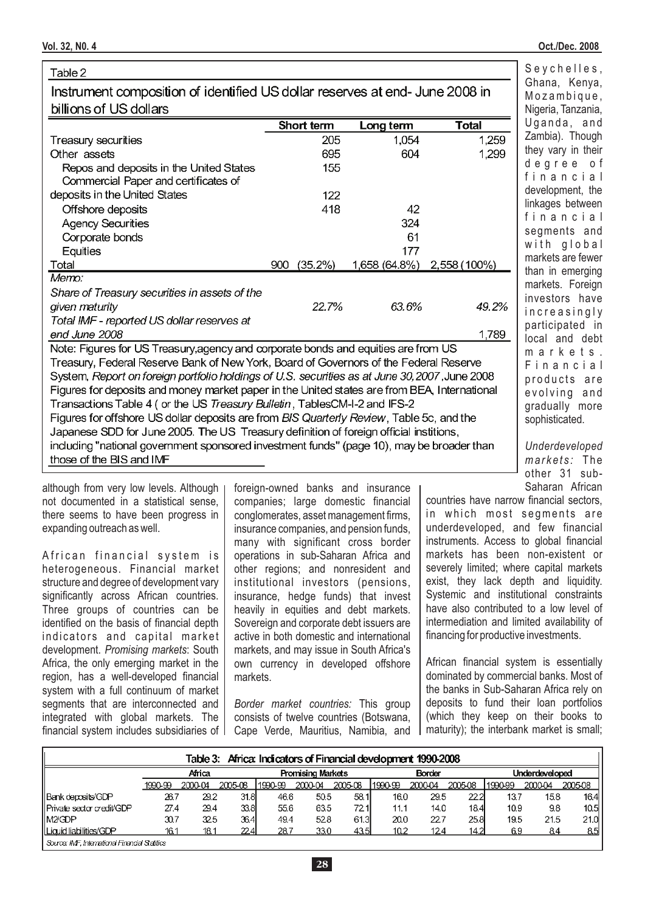| Table 2                                                                                        |                |               |              | Seychelles,                  |
|------------------------------------------------------------------------------------------------|----------------|---------------|--------------|------------------------------|
| Instrument composition of identified US dollar reserves at end-June 2008 in                    |                |               |              | Ghana, Kenya,<br>Mozambique, |
| billions of US dollars                                                                         |                |               |              | Nigeria, Tanzania,           |
|                                                                                                | Short term     | Long term     | <b>Total</b> | Uganda, and                  |
| <b>Treasury securities</b>                                                                     | 205            | 1,054         | 1,259        | Zambia). Though              |
| Other assets                                                                                   | 695            | 604           | 1,299        | they vary in their           |
| Repos and deposits in the United States<br>Commercial Paper and certificates of                | 155            |               |              | degree of<br>financial       |
| deposits in the United States                                                                  | 122            |               |              | development, the             |
| Offshore deposits                                                                              | 418            | 42            |              | linkages between             |
| <b>Agency Securities</b>                                                                       |                | 324           |              | financial                    |
| Corporate bonds                                                                                |                | 61            |              | segments and<br>with global  |
| Equities                                                                                       |                | 177           |              | markets are fewer            |
| Total                                                                                          | (35.2%)<br>900 | 1,658 (64.8%) | 2,558 (100%) | than in emerging             |
| Memo:                                                                                          |                |               |              | markets. Foreign             |
| Share of Treasury securities in assets of the                                                  |                |               |              | investors have               |
| given maturity                                                                                 | 22.7%          | 63.6%         | 49.2%        | increasingly                 |
| Total IMF - reported US dollar reserves at                                                     |                |               |              | participated in              |
| end June 2008                                                                                  |                |               | 1,789        | local and debt               |
| Note: Figures for US Treasury, agency and corporate bonds and equities are from US             |                |               |              | markets.                     |
| Treasury, Federal Reserve Bank of New York, Board of Governors of the Federal Reserve          |                |               |              | Financial                    |
| System, Report on foreign portfolio holdings of U.S. securities as at June 30, 2007, June 2008 |                |               |              | products are                 |
| Figures for deposits and money market paper in the United states are from BEA, International   |                |               |              | evolving and                 |
| Transactions Table 4 (or the US Treasury Bulletin, TablesCM-I-2 and IFS-2                      |                |               |              | gradually more               |
| Figures for offshore US dollar deposits are from BIS Quarterly Review, Table 5c, and the       |                |               |              | sophisticated.               |
| Japanese SDD for June 2005. The US Treasury definition of foreign official institions,         |                |               |              |                              |
| including "national government sponsored investment funds" (page 10), may be broader than      |                |               |              | Underdeveloped               |
| those of the BIS and IMF                                                                       |                |               |              | markets: The                 |
|                                                                                                |                |               |              | other 31 sub-                |

although from very low levels. Although not documented in a statistical sense, there seems to have been progress in expanding outreach as well.

African financial system is heterogeneous. Financial market structure and degree of development vary significantly across African countries. Three groups of countries can be identified on the basis of financial depth indicators and capital market development. Promising markets: South Africa, the only emerging market in the region, has a well-developed financial system with a full continuum of market segments that are interconnected and integrated with global markets. The financial system includes subsidiaries of foreign-owned banks and insurance companies; large domestic financial conglomerates, asset management firms, insurance companies, and pension funds, many with significant cross border operations in sub-Saharan Africa and other regions; and nonresident and institutional investors (pensions, insurance, hedge funds) that invest heavily in equities and debt markets. Sovereign and corporate debt issuers are active in both domestic and international markets, and may issue in South Africa's own currency in developed offshore markets.

Border market countries: This group consists of twelve countries (Botswana, Cape Verde, Mauritius, Namibia, and countries have narrow financial sectors, in which most segments are underdeveloped, and few financial instruments. Access to global financial markets has been non-existent or severely limited; where capital markets exist, they lack depth and liquidity. Systemic and institutional constraints have also contributed to a low level of intermediation and limited availability of financing for productive investments.

African financial system is essentially dominated by commercial banks. Most of the banks in Sub-Saharan Africa rely on deposits to fund their loan portfolios (which they keep on their books to maturity); the interbank market is small;

|                                               |         |         |         |         |                          | Table 3: Africa: Indicators of Financial development 1990-2008 |          |               |         |         |                       |         |
|-----------------------------------------------|---------|---------|---------|---------|--------------------------|----------------------------------------------------------------|----------|---------------|---------|---------|-----------------------|---------|
|                                               |         | Africa  |         |         | <b>Promising Markets</b> |                                                                |          | <b>Border</b> |         |         | <b>Underdeveloped</b> |         |
|                                               | 1990-99 | 2000-04 | 2005-08 | 1990-99 | 2000-04                  | 2005-08                                                        | 11990-99 | 2000-04       | 2005-08 | 1990-99 | 2000-04               | 2005-08 |
| Bank deposits/GDP                             | 26.7    | 29.2    | 31.8    | 46.6    | 50.5                     | 58.1l                                                          | 16.0     | 29.5          | 22.2    | 137     | 158                   | 16.4    |
| ll Private sector credit/GDP                  | 27.4    | 29.4    | 33.8    | 55.6    | 63.5                     | 72.1                                                           | 11.1     | 14.0          | 18.4    | 10.9    | 9.8                   | 10.5    |
| llM2/GDP                                      | 30.7    | 32.5    | 36.4    | 49.4    | 52.8                     | 61.3                                                           | 20.0     | 22.7          | 25.8    | 19.5    | 21.5                  | 21.0    |
| l Licuid liabilities/GDP                      | 16.1    | 18.1    | 22.4    | 28.7    | 33.0                     | 43.5I                                                          | 10.2     | 124           | 14.2I   | 69      | 84                    | 85      |
| Source: IME International Financial Statifice |         |         |         |         |                          |                                                                |          |               |         |         |                       |         |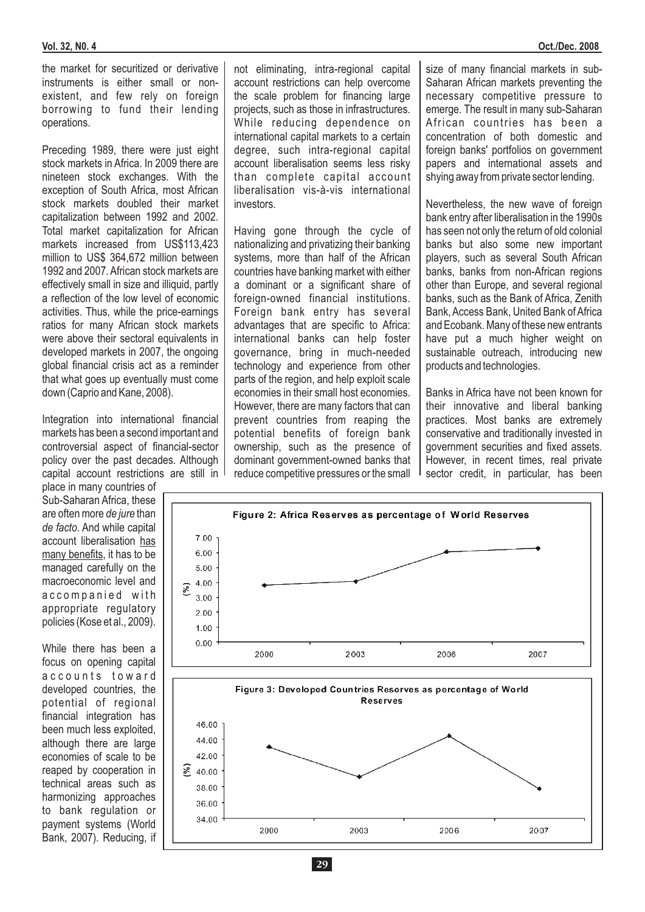the market for securitized or derivative instruments is either small or nonexistent, and few rely on foreign borrowing to fund their lending operations.

Preceding 1989, there were just eight stock markets in Africa. In 2009 there are nineteen stock exchanges. With the exception of South Africa, most African stock markets doubled their market capitalization between 1992 and 2002. Total market capitalization for African markets increased from US\$113,423 million to US\$ 364,672 million between 1992 and 2007. African stock markets are effectively small in size and illiquid, partly a reflection of the low level of economic activities. Thus, while the price-earnings ratios for many African stock markets were above their sectoral equivalents in developed markets in 2007, the ongoing global financial crisis act as a reminder that what goes up eventually must come down (Caprio and Kane, 2008).

Integration into international financial markets has been a second important and controversial aspect of financial-sector policy over the past decades. Although capital account restrictions are still in

place in many countries of Sub-Saharan Africa, these are often more de jure than de facto. And while capital account liberalisation has many benefits, it has to be managed carefully on the macroeconomic level and accompanied with appropriate regulatory policies (Kose et al., 2009).

While there has been a focus on opening capital accounts toward developed countries, the potential of regional financial integration has been much less exploited, although there are large economies of scale to be reaped by cooperation in technical areas such as harmonizing approaches to bank regulation or payment systems (World Bank, 2007). Reducing, if

not eliminating, intra-regional capital account restrictions can help overcome the scale problem for financing large projects, such as those in infrastructures. While reducing dependence on international capital markets to a certain degree, such intra-regional capital account liberalisation seems less risky than complete capital account liberalisation vis-à-vis international investors.

Having gone through the cycle of nationalizing and privatizing their banking systems, more than half of the African countries have banking market with either a dominant or a significant share of foreign-owned financial institutions. Foreign bank entry has several advantages that are specific to Africa: international banks can help foster governance, bring in much-needed technology and experience from other parts of the region, and help exploit scale economies in their small host economies. However, there are many factors that can prevent countries from reaping the potential benefits of foreign bank ownership, such as the presence of dominant government-owned banks that reduce competitive pressures or the small size of many financial markets in sub-Saharan African markets preventing the necessary competitive pressure to emerge. The result in many sub-Saharan African countries has been a concentration of both domestic and foreign banks' portfolios on government papers and international assets and shying away from private sector lending.

Nevertheless, the new wave of foreign bank entry after liberalisation in the 1990s has seen not only the return of old colonial banks but also some new important players, such as several South African banks, banks from non-African regions other than Europe, and several regional banks, such as the Bank of Africa, Zenith Bank, Access Bank, United Bank of Africa and Ecobank. Many of these new entrants have put a much higher weight on sustainable outreach, introducing new products and technologies.

Banks in Africa have not been known for their innovative and liberal banking practices. Most banks are extremely conservative and traditionally invested in government securities and fixed assets. However, in recent times, real private sector credit, in particular, has been

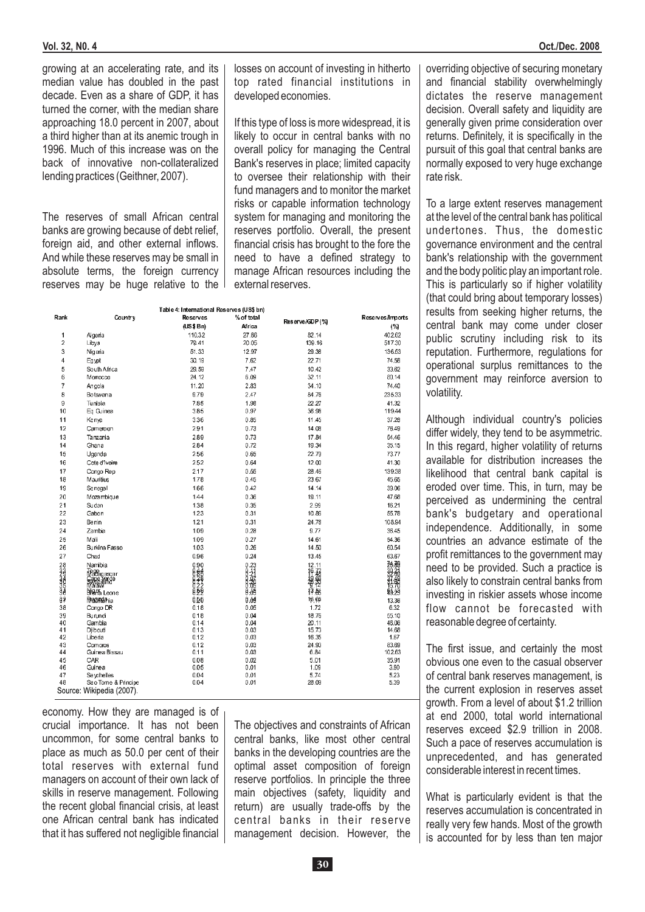growing at an accelerating rate, and its median value has doubled in the past decade. Even as a share of GDP, it has turned the corner, with the median share approaching 18.0 percent in 2007, about a third higher than at its anemic trough in 1996. Much of this increase was on the back of innovative non-collateralized lending practices (Geithner, 2007).

The reserves of small African central banks are growing because of debt relief, foreign aid, and other external inflows. And while these reserves may be small in absolute terms, the foreign currency reserves may be huge relative to the losses on account of investing in hitherto top rated financial institutions in developed economies.

If this type of loss is more widespread, it is likely to occur in central banks with no overall policy for managing the Central Bank's reserves in place; limited capacity to oversee their relationship with their fund managers and to monitor the market risks or capable information technology system for managing and monitoring the reserves portfolio. Overall, the present financial crisis has brought to the fore the need to have a defined strategy to manage African resources including the external reserves.

|                    | Table 4: International Reserves (US\$ bn) |              |                                                          |                          |                  |  |  |  |  |
|--------------------|-------------------------------------------|--------------|----------------------------------------------------------|--------------------------|------------------|--|--|--|--|
| Rank               | Country                                   | Reserves     | % of total                                               | Reserve/GDP (%)          | Reserves/Imports |  |  |  |  |
|                    |                                           | (US \$Bn)    | Africa                                                   |                          | (%)              |  |  |  |  |
| 1                  | Algeria                                   | 110.32       | 27.86                                                    | 82.14                    | 402.62           |  |  |  |  |
| $\overline{c}$     | Libya                                     | 79.41        | 20.05                                                    | 139.16                   | 517.30           |  |  |  |  |
| 3                  | Nigeria                                   | 51.33        | 12.97                                                    | 29.38                    | 136.53           |  |  |  |  |
| 4                  | Egypt                                     | 30.19        | 7.62                                                     | 22.71                    | 74.58            |  |  |  |  |
| 5                  | South Africa                              | 29.59        | 7.47                                                     | 10.42                    | 33.62            |  |  |  |  |
| 6                  | Morrocco                                  | 24.12        | 6.09                                                     | 32.11                    | 80.14            |  |  |  |  |
| 7                  | Angola                                    | 11.20        | 2.83                                                     | 34.10                    | 74.40            |  |  |  |  |
| 8                  | Botswana                                  | 9.79         | 2.47                                                     | 84.76                    | 235.33           |  |  |  |  |
| 9                  | Tunisia                                   | 7.85         | 1.98                                                     | 22.27                    | 41.32            |  |  |  |  |
| 10                 | Eq Guinea                                 | 3.85         | 0.97                                                     | 36.98                    | 119.44           |  |  |  |  |
| 11                 | Kenya                                     | 3.36         | 0.85                                                     | 11.45                    | 37.28            |  |  |  |  |
| 12                 | Cameroon                                  | 2.91         | 0.73                                                     | 14.08                    | 76.49            |  |  |  |  |
| 13                 | Tanzania                                  | 2.89         | 0.73                                                     | 17.84                    | 54.46            |  |  |  |  |
| 14                 | Ghana                                     | 2.84         | 0.72                                                     | 19.34                    | 35.15            |  |  |  |  |
| 15                 | Uganda                                    | 2.56         | 0.65                                                     | 22.79                    | 73.77            |  |  |  |  |
| 16                 | Cote d'Ivoire                             | 2.52         | 0.64                                                     | 12.00                    | 41.30            |  |  |  |  |
| 17                 | Congo Rep                                 | 2.17         | 0.55                                                     | 28.46                    | 139.38           |  |  |  |  |
| 18                 | Mauritius                                 | 1.78         | 0.45                                                     | 23.67                    | 45.65            |  |  |  |  |
| 19                 | Senegal                                   | 1.66         | 0.42                                                     | 14.14                    | 39.06            |  |  |  |  |
| 20                 | Mazambigue                                | 1.44         | 0.36                                                     | 19.11                    | 47.68            |  |  |  |  |
| 21                 | Sudan                                     | 1.38         | 0.35                                                     | 2.99                     | 16.21            |  |  |  |  |
| 22                 | Gabon                                     | 1.23         | 0.31                                                     | 10.86                    | 55.78            |  |  |  |  |
| 23                 | Benin                                     | 1.21         | 0.31                                                     | 24.78                    | 108.94           |  |  |  |  |
| 24                 | Zambia                                    | 1.09         | 0.28                                                     | 9.77                     | 36.45            |  |  |  |  |
| 25                 | Mali                                      | 1.09         | 0.27                                                     | 14.61                    | 54.36            |  |  |  |  |
| 26                 | Burkina Fasso                             | 1.03         | 0.26                                                     | 14.50                    | 60.54            |  |  |  |  |
| 27                 | Chad                                      | 0.96         | 0.24                                                     | 13.45                    | 63.67            |  |  |  |  |
|                    | Namibia                                   | 0.90         | $0.23$<br>$0.34$<br>$0.34$<br>$0.35$<br>$0.35$<br>$0.35$ | 12.11                    |                  |  |  |  |  |
|                    | <b><i>Madagasgar</i></b>                  |              |                                                          |                          |                  |  |  |  |  |
|                    | Cape Yarde<br>Malawi                      |              |                                                          |                          |                  |  |  |  |  |
| <b>COLLUMATION</b> | Sieffa Leone                              |              |                                                          | 16.78<br>39.992<br>17.85 |                  |  |  |  |  |
| ä?                 | <b>Madrican</b> ia                        | 0.56         | 0.04                                                     | 16.65                    | 13.36            |  |  |  |  |
| 38                 | Congo DR                                  | 0.18         | 0.05                                                     | 1.72                     | 6.32             |  |  |  |  |
| 39                 | Burundi                                   | 0.18         | 0.04                                                     | 18.76                    | 55.10            |  |  |  |  |
| 40                 | Gambia                                    | 0.14         | 0.04                                                     | 20.11                    | 46.06            |  |  |  |  |
| 41                 | Djibouti                                  | 0.13         | 0.03                                                     | 15.73                    | 14.68            |  |  |  |  |
| 42                 | Liberia                                   | 0.12         | 0.03                                                     | 16.35                    | 1.67             |  |  |  |  |
| 43<br>44           | Comoros<br>Guinea Bissau                  | 0.12<br>0.11 | 0.03<br>0.03                                             | 24.93<br>6.84            | 83.69<br>102.63  |  |  |  |  |
| 45                 | CAR                                       | 0.08         | 0.02                                                     | 5.01                     | 35.91            |  |  |  |  |
| 46                 | Guinea                                    | 0.05         | 0.01                                                     | 1.09                     | 3.80             |  |  |  |  |
| 47                 | Sevchelles                                | 0.04         | 0.01                                                     | 5.74                     | 5.23             |  |  |  |  |
| 48                 | Sao Tome & Principe                       | 0.04         | 0.01                                                     | 28.09                    | 5.39             |  |  |  |  |
|                    | Source: Wikipedia (2007).                 |              |                                                          |                          |                  |  |  |  |  |

economy. How they are managed is of crucial importance. It has not been uncommon, for some central banks to place as much as 50.0 per cent of their total reserves with external fund managers on account of their own lack of skills in reserve management. Following the recent global financial crisis, at least one African central bank has indicated that it has suffered not negligible financial

The objectives and constraints of African central banks, like most other central banks in the developing countries are the optimal asset composition of foreign reserve portfolios. In principle the three main objectives (safety, liquidity and return) are usually trade-offs by the central banks in their reserve management decision. However, the

overriding objective of securing monetary and financial stability overwhelmingly dictates the reserve management decision. Overall safety and liquidity are generally given prime consideration over returns. Definitely, it is specifically in the pursuit of this goal that central banks are normally exposed to very huge exchange rate risk.

To a large extent reserves management at the level of the central bank has political undertones. Thus, the domestic governance environment and the central bank's relationship with the government and the body politic play an important role. This is particularly so if higher volatility (that could bring about temporary losses) results from seeking higher returns, the central bank may come under closer public scrutiny including risk to its reputation. Furthermore, regulations for operational surplus remittances to the government may reinforce aversion to volatility.

Although individual country's policies differ widely, they tend to be asymmetric. In this regard, higher volatility of returns available for distribution increases the likelihood that central bank capital is eroded over time. This, in turn, may be perceived as undermining the central bank's budgetary and operational independence. Additionally, in some countries an advance estimate of the profit remittances to the government may need to be provided. Such a practice is also likely to constrain central banks from investing in riskier assets whose income flow cannot be forecasted with reasonable degree of certainty.

The first issue, and certainly the most obvious one even to the casual observer of central bank reserves management, is the current explosion in reserves asset growth. From a level of about \$1.2 trillion at end 2000, total world international reserves exceed \$2.9 trillion in 2008. Such a pace of reserves accumulation is unprecedented, and has generated considerable interest in recent times.

What is particularly evident is that the reserves accumulation is concentrated in really very few hands. Most of the growth is accounted for by less than ten major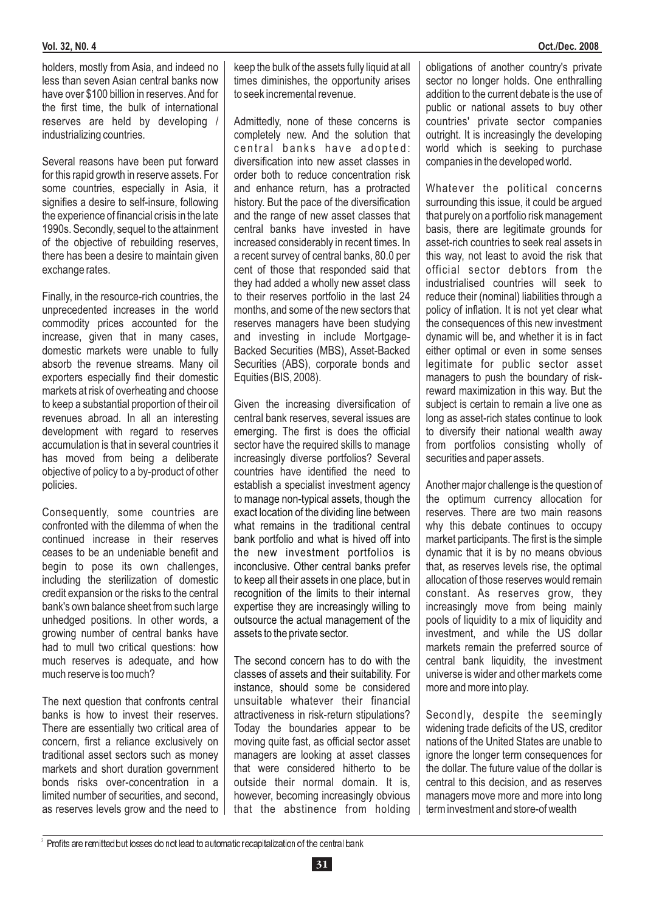holders, mostly from Asia, and indeed no less than seven Asian central banks now have over \$100 billion in reserves. And for the first time, the bulk of international reserves are held by developing / industrializing countries.

Several reasons have been put forward for this rapid growth in reserve assets. For some countries, especially in Asia, it signifies a desire to self-insure, following the experience of financial crisis in the late 1990s. Secondly, sequel to the attainment of the objective of rebuilding reserves, there has been a desire to maintain given exchange rates.

Finally, in the resource-rich countries, the unprecedented increases in the world commodity prices accounted for the increase, given that in many cases, domestic markets were unable to fully absorb the revenue streams. Many oil exporters especially find their domestic markets at risk of overheating and choose to keep a substantial proportion of their oil revenues abroad. In all an interesting development with regard to reserves accumulation is that in several countries it has moved from being a deliberate objective of policy to a by-product of other policies.

Consequently, some countries are confronted with the dilemma of when the continued increase in their reserves ceases to be an undeniable benefit and begin to pose its own challenges, including the sterilization of domestic credit expansion or the risks to the central bank's own balance sheet from such large unhedged positions. In other words, a growing number of central banks have had to mull two critical questions: how much reserves is adequate, and how much reserve is too much?

The next question that confronts central banks is how to invest their reserves. There are essentially two critical area of concern, first a reliance exclusively on traditional asset sectors such as money markets and short duration government bonds risks over-concentration in a limited number of securities, and second, as reserves levels grow and the need to keep the bulk of the assets fully liquid at all times diminishes, the opportunity arises to seek incremental revenue.

Admittedly, none of these concerns is completely new. And the solution that central banks have adopted: diversification into new asset classes in order both to reduce concentration risk and enhance return, has a protracted history. But the pace of the diversification and the range of new asset classes that central banks have invested in have increased considerably in recent times. In a recent survey of central banks, 80.0 per cent of those that responded said that they had added a wholly new asset class to their reserves portfolio in the last 24 months, and some of the new sectors that reserves managers have been studying and investing in include Mortgage-Backed Securities (MBS), Asset-Backed Securities (ABS), corporate bonds and Equities (BIS, 2008).

Given the increasing diversification of central bank reserves, several issues are emerging. The first is does the official sector have the required skills to manage increasingly diverse portfolios? Several countries have identified the need to establish a specialist investment agency to manage non-typical assets, though the exact location of the dividing line between what remains in the traditional central bank portfolio and what is hived off into the new investment portfolios is inconclusive. Other central banks prefer to keep all their assets in one place, but in recognition of the limits to their internal expertise they are increasingly willing to outsource the actual management of the assets to the private sector.

instance, should some be considered unsuitable whatever their financial attractiveness in risk-return stipulations? Today the boundaries appear to be moving quite fast, as official sector asset managers are looking at asset classes that were considered hitherto to be outside their normal domain. It is, however, becoming increasingly obvious that the abstinence from holding The second concern has to do with the classes of assets and their suitability. For obligations of another country's private sector no longer holds. One enthralling addition to the current debate is the use of public or national assets to buy other countries' private sector companies outright. It is increasingly the developing world which is seeking to purchase companies in the developed world.

Whatever the political concerns surrounding this issue, it could be argued that purely on a portfolio risk management basis, there are legitimate grounds for asset-rich countries to seek real assets in this way, not least to avoid the risk that official sector debtors from the industrialised countries will seek to reduce their (nominal) liabilities through a policy of inflation. It is not yet clear what the consequences of this new investment dynamic will be, and whether it is in fact either optimal or even in some senses legitimate for public sector asset managers to push the boundary of riskreward maximization in this way. But the subject is certain to remain a live one as long as asset-rich states continue to look to diversify their national wealth away from portfolios consisting wholly of securities and paper assets.

Another major challenge is the question of the optimum currency allocation for reserves. There are two main reasons why this debate continues to occupy market participants. The first is the simple dynamic that it is by no means obvious that, as reserves levels rise, the optimal allocation of those reserves would remain constant. As reserves grow, they increasingly move from being mainly pools of liquidity to a mix of liquidity and investment, and while the US dollar markets remain the preferred source of central bank liquidity, the investment universe is wider and other markets come more and more into play.

Secondly, despite the seemingly widening trade deficits of the US, creditor nations of the United States are unable to ignore the longer term consequences for the dollar. The future value of the dollar is central to this decision, and as reserves managers move more and more into long term investment and store-of wealth

 $\,$  Profits are remitted but losses do not lead to automatic recapitalization of the central bank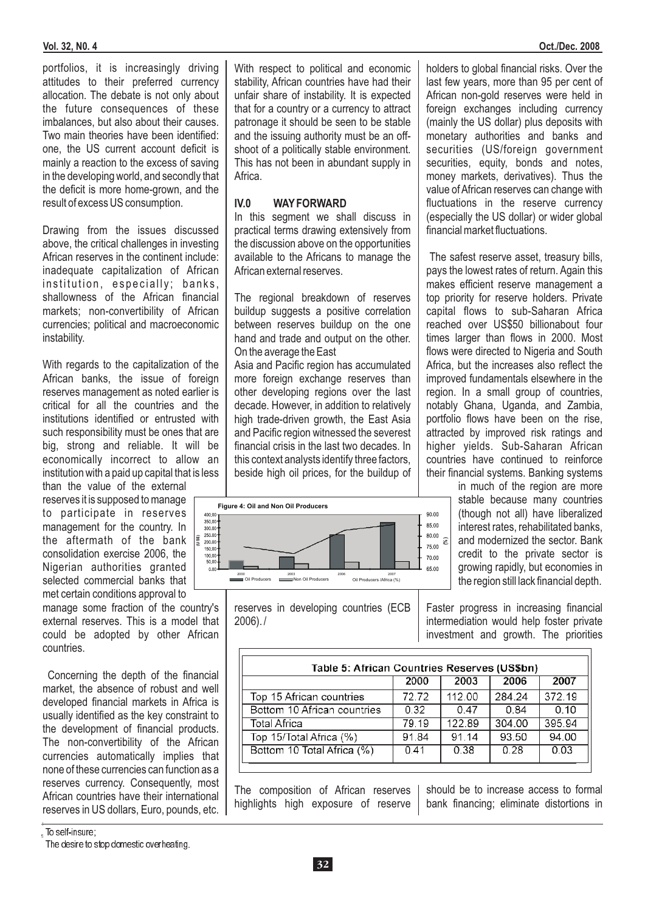#### **Vol. 32, N0. 4 Oct./Dec. 2008**

portfolios, it is increasingly driving attitudes to their preferred currency allocation. The debate is not only about the future consequences of these imbalances, but also about their causes. Two main theories have been identified: one, the US current account deficit is mainly a reaction to the excess of saving in the developing world, and secondly that the deficit is more home-grown, and the result of excess US consumption.

Drawing from the issues discussed above, the critical challenges in investing African reserves in the continent include: inadequate capitalization of African institution, especially; banks, shallowness of the African financial markets; non-convertibility of African currencies; political and macroeconomic instability.

With regards to the capitalization of the African banks, the issue of foreign reserves management as noted earlier is critical for all the countries and the institutions identified or entrusted with such responsibility must be ones that are big, strong and reliable. It will be economically incorrect to allow an institution with a paid up capital that is less

than the value of the external reserves it is supposed to manage to participate in reserves management for the country. In the aftermath of the bank consolidation exercise 2006, the Nigerian authorities granted selected commercial banks that met certain conditions approval to

manage some fraction of the country's external reserves. This is a model that could be adopted by other African countries.

Concerning the depth of the financial market, the absence of robust and well developed financial markets in Africa is usually identified as the key constraint to the development of financial products. The non-convertibility of the African currencies automatically implies that none of these currencies can function as a reserves currency. Consequently, most African countries have their international reserves in US dollars, Euro, pounds, etc.

4  $_{\scriptscriptstyle{5}}$  To self-insure; With respect to political and economic stability, African countries have had their unfair share of instability. It is expected that for a country or a currency to attract patronage it should be seen to be stable and the issuing authority must be an offshoot of a politically stable environment. This has not been in abundant supply in Africa.

#### **IV.0 WAY FORWARD**

In this segment we shall discuss in practical terms drawing extensively from the discussion above on the opportunities available to the Africans to manage the African external reserves.

The regional breakdown of reserves buildup suggests a positive correlation between reserves buildup on the one hand and trade and output on the other. On the average the East

Asia and Pacific region has accumulated more foreign exchange reserves than other developing regions over the last decade. However, in addition to relatively high trade-driven growth, the East Asia and Pacific region witnessed the severest financial crisis in the last two decades. In this context analysts identify three factors, beside high oil prices, for the buildup of





holders to global financial risks. Over the last few years, more than 95 per cent of African non-gold reserves were held in foreign exchanges including currency (mainly the US dollar) plus deposits with monetary authorities and banks and securities (US/foreign government securities, equity, bonds and notes, money markets, derivatives). Thus the value of African reserves can change with fluctuations in the reserve currency (especially the US dollar) or wider global financial market fluctuations.

The safest reserve asset, treasury bills, pays the lowest rates of return. Again this makes efficient reserve management a top priority for reserve holders. Private capital flows to sub-Saharan Africa reached over US\$50 billionabout four times larger than flows in 2000. Most flows were directed to Nigeria and South Africa, but the increases also reflect the improved fundamentals elsewhere in the region. In a small group of countries, notably Ghana, Uganda, and Zambia, portfolio flows have been on the rise, attracted by improved risk ratings and higher yields. Sub-Saharan African countries have continued to reinforce their financial systems. Banking systems

> in much of the region are more stable because many countries (though not all) have liberalized interest rates, rehabilitated banks, and modernized the sector. Bank credit to the private sector is growing rapidly, but economies in the region still lack financial depth.

Faster progress in increasing financial intermediation would help foster private investment and growth. The priorities

| Table 5: African Countries Reserves (US\$bn) |       |        |             |        |  |  |  |
|----------------------------------------------|-------|--------|-------------|--------|--|--|--|
|                                              | 2000  | 2003   | 2006        | 2007   |  |  |  |
| Top 15 African countries                     | 72.72 | 112.00 | 284.24      | 372.19 |  |  |  |
| Bottom 10 African countries                  | 0.32  | 0.47   | <u>በ 84</u> | 0,10   |  |  |  |
| Total Africa                                 | 79.19 | 122.89 | 304.00      | 395.94 |  |  |  |
| Top 15/Total Africa (%)                      | 91.84 | 91.14  | 93.50       | 94.00  |  |  |  |
| Bottom 10 Total Africa (%)                   | 0.41  | 0.38   | 0.28        | 0.03   |  |  |  |

The composition of African reserves highlights high exposure of reserve

should be to increase access to formal bank financing; eliminate distortions in

The desire to stop domestic overheating.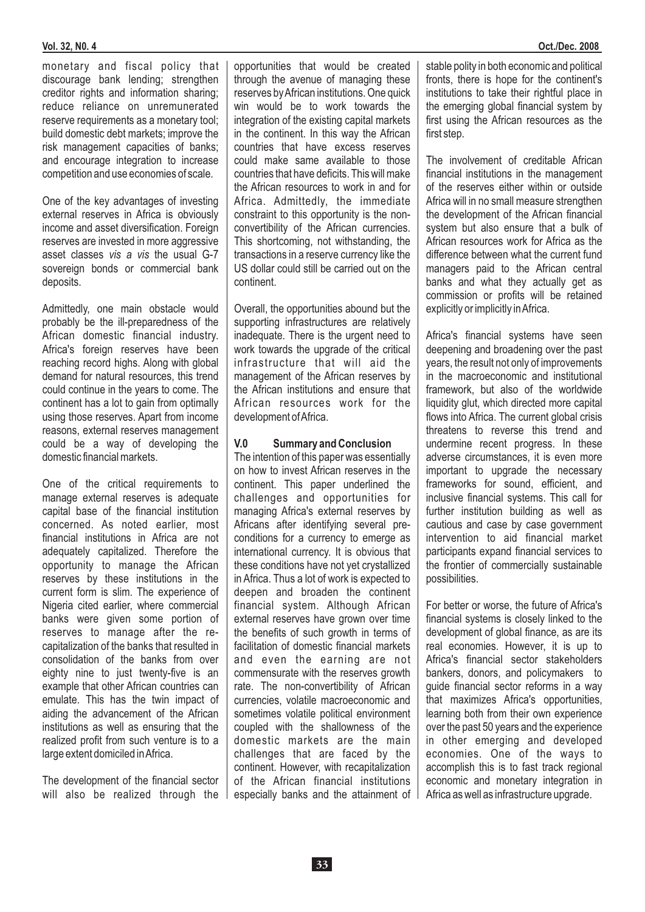monetary and fiscal policy that discourage bank lending; strengthen creditor rights and information sharing; reduce reliance on unremunerated reserve requirements as a monetary tool; build domestic debt markets; improve the risk management capacities of banks; and encourage integration to increase competition and use economies of scale.

One of the key advantages of investing external reserves in Africa is obviously income and asset diversification. Foreign reserves are invested in more aggressive asset classes vis a vis the usual G-7 sovereign bonds or commercial bank deposits.

Admittedly, one main obstacle would probably be the ill-preparedness of the African domestic financial industry. Africa's foreign reserves have been reaching record highs. Along with global demand for natural resources, this trend could continue in the years to come. The continent has a lot to gain from optimally using those reserves. Apart from income reasons, external reserves management could be a way of developing the domestic financial markets.

One of the critical requirements to manage external reserves is adequate capital base of the financial institution concerned. As noted earlier, most financial institutions in Africa are not adequately capitalized. Therefore the opportunity to manage the African reserves by these institutions in the current form is slim. The experience of Nigeria cited earlier, where commercial banks were given some portion of reserves to manage after the recapitalization of the banks that resulted in consolidation of the banks from over eighty nine to just twenty-five is an example that other African countries can emulate. This has the twin impact of aiding the advancement of the African institutions as well as ensuring that the realized profit from such venture is to a large extent domiciled inAfrica.

The development of the financial sector will also be realized through the opportunities that would be created through the avenue of managing these reserves byAfrican institutions. One quick win would be to work towards the integration of the existing capital markets in the continent. In this way the African countries that have excess reserves could make same available to those countries that have deficits. This will make the African resources to work in and for Africa. Admittedly, the immediate constraint to this opportunity is the nonconvertibility of the African currencies. This shortcoming, not withstanding, the transactions in a reserve currency like the US dollar could still be carried out on the continent.

Overall, the opportunities abound but the supporting infrastructures are relatively inadequate. There is the urgent need to work towards the upgrade of the critical infrastructure that will aid the management of the African reserves by the African institutions and ensure that African resources work for the development ofAfrica.

#### **V.0 Summary and Conclusion**

The intention of this paper was essentially on how to invest African reserves in the continent. This paper underlined the challenges and opportunities for managing Africa's external reserves by Africans after identifying several preconditions for a currency to emerge as international currency. It is obvious that these conditions have not yet crystallized in Africa. Thus a lot of work is expected to deepen and broaden the continent financial system. Although African external reserves have grown over time the benefits of such growth in terms of facilitation of domestic financial markets and even the earning are not commensurate with the reserves growth rate. The non-convertibility of African currencies, volatile macroeconomic and sometimes volatile political environment coupled with the shallowness of the domestic markets are the main challenges that are faced by the continent. However, with recapitalization of the African financial institutions especially banks and the attainment of stable polity in both economic and political fronts, there is hope for the continent's institutions to take their rightful place in the emerging global financial system by first using the African resources as the first step.

The involvement of creditable African financial institutions in the management of the reserves either within or outside Africa will in no small measure strengthen the development of the African financial system but also ensure that a bulk of African resources work for Africa as the difference between what the current fund managers paid to the African central banks and what they actually get as commission or profits will be retained explicitly or implicitly inAfrica.

Africa's financial systems have seen deepening and broadening over the past years, the result not only of improvements in the macroeconomic and institutional framework, but also of the worldwide liquidity glut, which directed more capital flows into Africa. The current global crisis threatens to reverse this trend and undermine recent progress. In these adverse circumstances, it is even more important to upgrade the necessary frameworks for sound, efficient, and inclusive financial systems. This call for further institution building as well as cautious and case by case government intervention to aid financial market participants expand financial services to the frontier of commercially sustainable possibilities.

For better or worse, the future of Africa's financial systems is closely linked to the development of global finance, as are its real economies. However, it is up to Africa's financial sector stakeholders bankers, donors, and policymakers to guide financial sector reforms in a way that maximizes Africa's opportunities, learning both from their own experience over the past 50 years and the experience in other emerging and developed economies. One of the ways to accomplish this is to fast track regional economic and monetary integration in Africa as well as infrastructure upgrade.